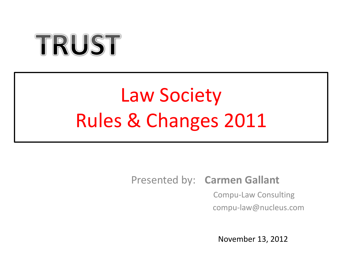# TRUST

## Law Society Rules & Changes 2011

## Presented by: **Carmen Gallant**

 Compu-Law Consulting compu-law@nucleus.com

November 13, 2012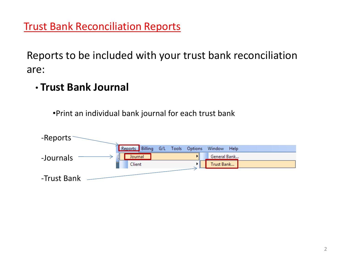## **Trust Bank Reconciliation Reports**

Reports to be included with your trust bank reconciliation are:

• **Trust Bank Journal** 

•Print an individual bank journal for each trust bank

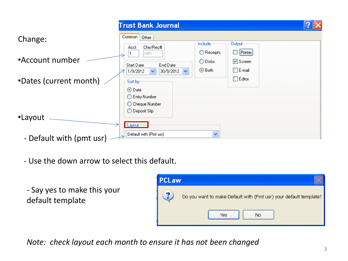|                          | <b>Trust Bank Journal</b>                                                                                                                                                                                                                          |  |
|--------------------------|----------------------------------------------------------------------------------------------------------------------------------------------------------------------------------------------------------------------------------------------------|--|
| Change:                  | Common<br>Other<br>Include:<br><b>Output:</b><br>Che/Rec#<br>Acct                                                                                                                                                                                  |  |
| •Account number          | $\Box$ Printer<br>$\bigcirc$ Receipts<br><all><br/><math>\bigcirc</math> Disbs.<br/>☑ Screen<br/>Start Date<br/>End Date<br/>⊙ Both<br/><math>\square</math> E-mail<br/>30/9/2012 <math>\vee</math><br/>1/9/2012<br/><math>\checkmark</math></all> |  |
| •Dates (current month)   | $\Box$ Editor<br>Sort by-                                                                                                                                                                                                                          |  |
|                          | ⊙Date<br>C Entry Number<br>◯ Cheque Number                                                                                                                                                                                                         |  |
| •Layout                  | ◯ Deposit Slip<br>- Layout                                                                                                                                                                                                                         |  |
| - Default with (pmt usr) | $\checkmark$<br>Default with (Pmt usr)                                                                                                                                                                                                             |  |

- Use the down arrow to select this default.
- Say yes to make this your default template



*Note: check layout each month to ensure it has not been changed*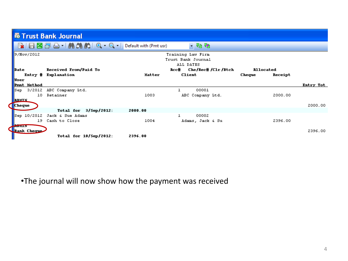|                               |                         | <b>K Trust Bank Journal</b>                 |         |                                                      |                   |           |
|-------------------------------|-------------------------|---------------------------------------------|---------|------------------------------------------------------|-------------------|-----------|
|                               |                         | ■ 日図団凸   前端的 0 - Q - Default with (Pmt usr) |         | - 65 G                                               |                   |           |
|                               | 9/Nov/2012              |                                             |         | Training Law Firm<br>Trust Bank Journal<br>ALL DATES |                   |           |
| Date                          |                         | Received From/Paid To                       |         | Roc# Che/Rec#/Clr/Btch                               | <b>Allocated</b>  |           |
|                               |                         | Entry # Explanation                         | Matter  | <b>Client</b>                                        | Cheque<br>Receipt |           |
| User                          | Pmnt Method             |                                             |         |                                                      |                   | Entry Tot |
| Sep.                          |                         | 3/2012 ABC Company Ltd.                     |         | 00001                                                |                   |           |
|                               | 10                      | Retainer                                    | 1003    | ABC Company Ltd.                                     | 2000.00           |           |
| <b>BUMIN</b><br><b>Cheque</b> |                         |                                             |         |                                                      |                   | 2000.00   |
|                               |                         | Total for $3/$ Sep/2012:                    | 2000.00 |                                                      |                   |           |
|                               | $\mathbb{S}$ ep 10/2012 | Jack & Sue Adams                            |         | 00002<br>ı                                           |                   |           |
|                               | 19                      | Cash to Close                               | 1004    | Adams, Jack & Su                                     | 2396.00           |           |
| <b>PRODUCT</b>                | <b>Bank Cheque</b>      | Total for 10/Sep/2012:                      | 2396.00 |                                                      |                   | 2396.00   |

•The journal will now show how the payment was received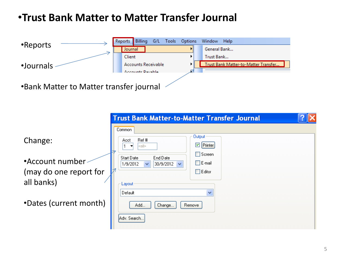## •**Trust Bank Matter to Matter Transfer Journal**



|                                                                                              | <b>Trust Bank Matter-to-Matter Transfer Journal</b>                                                                                                                                                                                                                                                                                                                          |  |
|----------------------------------------------------------------------------------------------|------------------------------------------------------------------------------------------------------------------------------------------------------------------------------------------------------------------------------------------------------------------------------------------------------------------------------------------------------------------------------|--|
| Change:<br>•Account number<br>(may do one report for<br>all banks)<br>•Dates (current month) | Common<br><b>Output</b><br>Ref#<br>Acct<br>$\boxed{\leq}$ Printer<br>l <all><br/><math>\Box</math> Screen<br/>Start Date<br/>End Date<br/><math>\square</math> E-mail<br/>1/9/2012<br/>30/9/2012<br/><math>\checkmark</math><br/><math>\checkmark</math><br/><math>\Box</math> Editor<br/>Layout<br/><math>\checkmark</math><br/>Default<br/>Add<br/>Change<br/>Remove</all> |  |
|                                                                                              | Adv. Search                                                                                                                                                                                                                                                                                                                                                                  |  |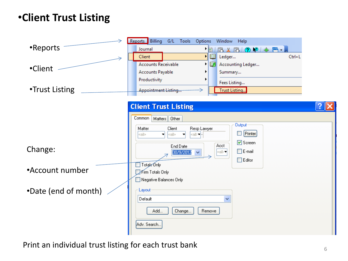## •**Client Trust Listing**

|                      | Reports Billing<br>G/L Tools<br>Options<br>Window<br>Help                                                  |  |  |
|----------------------|------------------------------------------------------------------------------------------------------------|--|--|
| •Reports             | Journal<br><b>13人7000米円-</b><br>▸ ⊟∣                                                                       |  |  |
|                      | ▶   闘<br>Ledger<br>Client<br>$Ctrl + L$                                                                    |  |  |
|                      | <b>Accounts Receivable</b><br>D,<br>Accounting Ledger                                                      |  |  |
| •Client              | <b>Accounts Payable</b><br>Summary                                                                         |  |  |
|                      | Productivity<br>Fees Listing                                                                               |  |  |
| •Trust Listing       | <b>Appointment Listing</b><br>Trust Listing                                                                |  |  |
|                      |                                                                                                            |  |  |
|                      | <b>Client Trust Listing</b>                                                                                |  |  |
|                      | Common<br>Matters Dther                                                                                    |  |  |
|                      | <b>Output:</b>                                                                                             |  |  |
|                      | Client<br>Resp Lawyer<br>Matter<br><b>Printer</b><br>  <a⊪≖<br>l<all><br/>▾<br/><all></all></all></a⊪≖<br> |  |  |
|                      | ☑ Screen                                                                                                   |  |  |
| Change:              | Acct<br>End Date<br>$\Box$ E-mail<br><al⊵▼<br>30/9/2012 <math>\blacktriangleright</math></al⊵▼<br>         |  |  |
|                      | $\Box$ Editor                                                                                              |  |  |
|                      | Totals Only                                                                                                |  |  |
| •Account number      | Firm Totals Only                                                                                           |  |  |
|                      | Negative Balances Only                                                                                     |  |  |
| •Date (end of month) | Layout                                                                                                     |  |  |
|                      | v<br>Default                                                                                               |  |  |
|                      |                                                                                                            |  |  |
|                      | Add<br>Remove<br>Change                                                                                    |  |  |
|                      | Adv. Search                                                                                                |  |  |
|                      |                                                                                                            |  |  |

Print an individual trust listing for each trust bank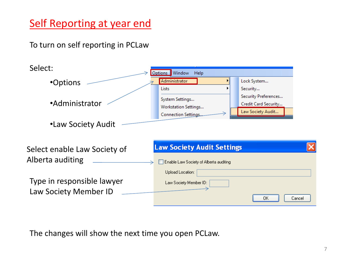## **Self Reporting at year end**

To turn on self reporting in PCLaw



The changes will show the next time you open PCLaw.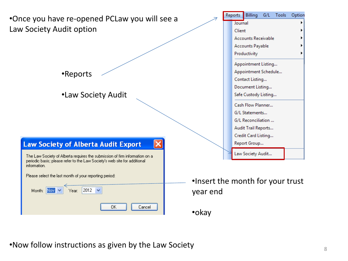•Once you have re-opened PCLaw you will see a Law Society Audit option

•Reports

•Law Society Audit

#### **Law Society of Alberta Audit Export**

The Law Society of Alberta requires the submission of firm information on a periodic basis; please refer to the Law Society's web site for additional information.

 $2012$   $\sim$ 

Please select the last month of your reportin

Year:

Month: Nov

| ig period: i | •Insert the m |
|--------------|---------------|
|              | year end      |
|              |               |

Cancel

|                      | Reports Billing G/L Tools  |  |  | Option |
|----------------------|----------------------------|--|--|--------|
| Journal              |                            |  |  |        |
| Client               |                            |  |  |        |
|                      | <b>Accounts Receivable</b> |  |  |        |
|                      | Accounts Payable           |  |  |        |
|                      | Productivity               |  |  | ▶      |
|                      | Appointment Listing        |  |  |        |
|                      | Appointment Schedule       |  |  |        |
| Contact Listing      |                            |  |  |        |
| Document Listing     |                            |  |  |        |
| Safe Custody Listing |                            |  |  |        |
| Cash Flow Planner    |                            |  |  |        |
| G/L Statements       |                            |  |  |        |
| G/L Reconciliation   |                            |  |  |        |
| Audit Trail Reports  |                            |  |  |        |
| Credit Card Listing  |                            |  |  |        |
|                      | Report Group               |  |  |        |
|                      | Law Society Audit          |  |  |        |

nonth for your trust

#### •okay

•Now follow instructions as given by the Law Society  $\frac{8}{8}$ 

OK.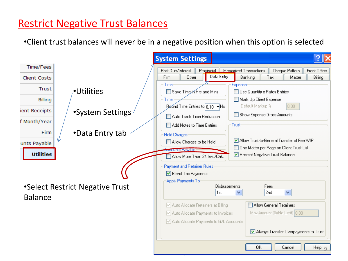## Restrict Negative Trust Balances

•Client trust balances will never be in a negative position when this option is selected

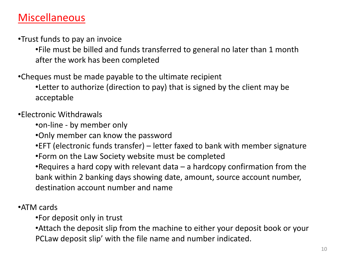## **Miscellaneous**

•Trust funds to pay an invoice

•File must be billed and funds transferred to general no later than 1 month after the work has been completed

•Cheques must be made payable to the ultimate recipient

•Letter to authorize (direction to pay) that is signed by the client may be acceptable

•Electronic Withdrawals

•on-line - by member only

•Only member can know the password

•EFT (electronic funds transfer) – letter faxed to bank with member signature

•Form on the Law Society website must be completed

•Requires a hard copy with relevant data – a hardcopy confirmation from the bank within 2 banking days showing date, amount, source account number, destination account number and name

•ATM cards

•For deposit only in trust

•Attach the deposit slip from the machine to either your deposit book or your PCLaw deposit slip' with the file name and number indicated.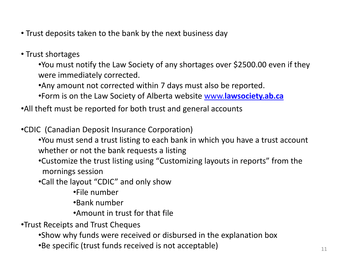- Trust deposits taken to the bank by the next business day
- Trust shortages

•You must notify the Law Society of any shortages over \$2500.00 even if they were immediately corrected.

•Any amount not corrected within 7 days must also be reported.

•Form is on the Law Society of Alberta website [www.](http://www.lawsociety.ab.ca/)**[lawsociety.ab.ca](http://www.lawsociety.ab.ca/)**

•All theft must be reported for both trust and general accounts

•CDIC (Canadian Deposit Insurance Corporation)

- •You must send a trust listing to each bank in which you have a trust account whether or not the bank requests a listing
- •Customize the trust listing using "Customizing layouts in reports" from the mornings session

•Call the layout "CDIC" and only show

•File number

•Bank number

•Amount in trust for that file

•Trust Receipts and Trust Cheques

•Show why funds were received or disbursed in the explanation box

•Be specific (trust funds received is not acceptable)  $11$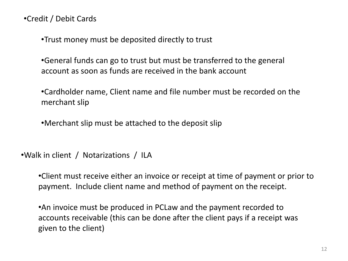•Credit / Debit Cards

•Trust money must be deposited directly to trust

•General funds can go to trust but must be transferred to the general account as soon as funds are received in the bank account

•Cardholder name, Client name and file number must be recorded on the merchant slip

•Merchant slip must be attached to the deposit slip

•Walk in client / Notarizations / ILA

•Client must receive either an invoice or receipt at time of payment or prior to payment. Include client name and method of payment on the receipt.

•An invoice must be produced in PCLaw and the payment recorded to accounts receivable (this can be done after the client pays if a receipt was given to the client)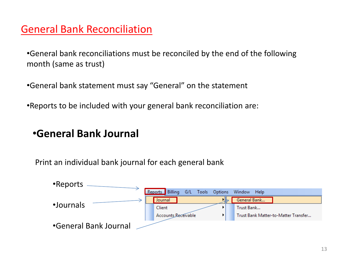## General Bank Reconciliation

•General bank reconciliations must be reconciled by the end of the following month (same as trust)

•General bank statement must say "General" on the statement

•Reports to be included with your general bank reconciliation are:

## •**General Bank Journal**

Print an individual bank journal for each general bank

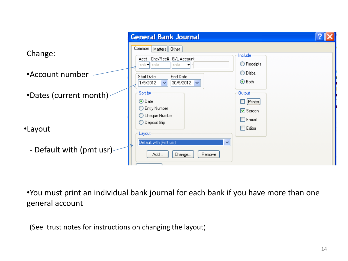|                          | <b>General Bank Journal</b>                                                                               |                                                                 |
|--------------------------|-----------------------------------------------------------------------------------------------------------|-----------------------------------------------------------------|
| Change:                  | Common<br>Matters Dther<br>Acct Che/Rec# G/L Account<br><alb▼∐<all≽<br>l<all><br/>▾</all></alb▼∐<all≽<br> | Include<br>$\bigcirc$ Receipts                                  |
| •Account number          | End Date<br>Start Date<br>$\checkmark$<br>30/9/2012 $\blacktriangleright$<br>1/9/2012                     | $\bigcirc$ Disbs.<br>⊙ Both                                     |
| •Dates (current month)   | Sort by<br>⊙Date<br>C Entry Number<br>◯ Cheque Number                                                     | <b>Output</b><br>$\Box$ Printer<br>☑ Screen<br>$\square$ E-mail |
| •Layout                  | ◯ Deposit Slip<br>Layout                                                                                  | $\Box$ Editor                                                   |
| - Default with (pmt usr) | Default with (Pmt usr)<br>$\checkmark$<br>Add<br>Change<br>Remove                                         |                                                                 |

•You must print an individual bank journal for each bank if you have more than one general account

(See trust notes for instructions on changing the layout)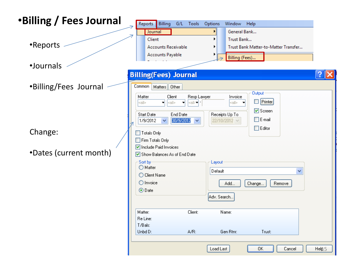| •Billing / Fees Journal           | Reports<br>Billing<br>G/L Tools<br>Window Help<br>Options                                                                                                                                                                                                                    |
|-----------------------------------|------------------------------------------------------------------------------------------------------------------------------------------------------------------------------------------------------------------------------------------------------------------------------|
|                                   | General Bank<br>Journal<br>Client<br>Trust Bank<br>▶                                                                                                                                                                                                                         |
| •Reports                          | <b>Accounts Receivable</b><br>Trust Bank Matter-to-Matter Transfer<br><b>Accounts Payable</b><br>Billing (Fees)                                                                                                                                                              |
| ·Journals                         | <b>Billing(Fees) Journal</b>                                                                                                                                                                                                                                                 |
| •Billing/Fees Journal             | Common  <br>Matters Dther<br><b>Output:</b><br>Matter<br>Client<br>Resp Lawyer<br>Invoice<br>$\Box$ Printer<br>⊲all≽<br>⊲all><br>ᆔ<br>⊲al⊳▼l<br>⊲all⊳<br>ᅱ<br>☑ Screen<br>End Date<br>Receipts Up To<br>Start Date<br>$\Box$ E-mail<br>30/9/2012<br>22/10/2012 V<br>1/9/2012 |
| Change:<br>•Dates (current month) | $\Box$ Editor<br>$\Box$ Totals Only<br>Firm Totals Only<br>Include Paid Invoices<br>Show Balances As of End Date<br>Sort by-<br>Layout<br>◯ Matter<br>Default<br>v<br>◯ Client Name<br>O Invoice<br>Add<br>Change<br>Remove<br>⊙Date<br>Adv. Search                          |
|                                   | Client:<br>Matter:<br>Name:<br>Re Line:<br>T/Bals:<br>Gen Rtnr:<br>Unbd D:<br>A/R:<br>Trust:                                                                                                                                                                                 |
|                                   | Load Last<br>ΟK<br>Cancel<br>Held <sub>5</sub>                                                                                                                                                                                                                               |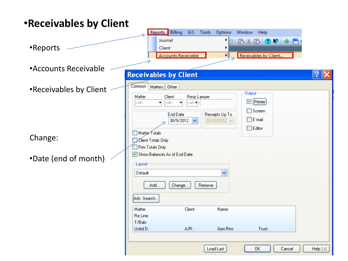